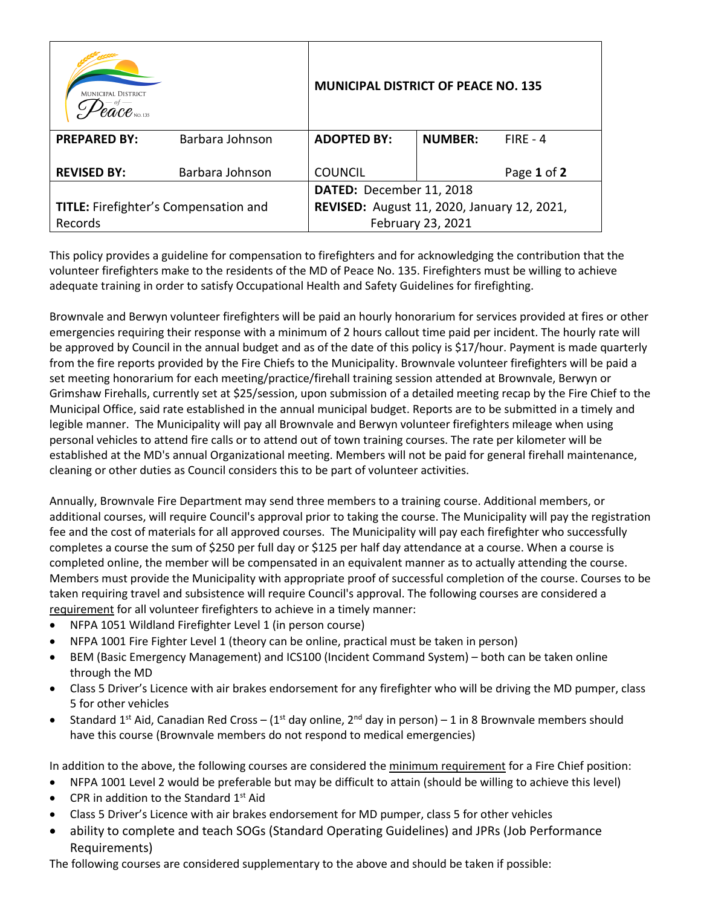| <b>MUNICIPAL DISTRICT</b>                    |                 | <b>MUNICIPAL DISTRICT OF PEACE NO. 135</b>  |                          |             |  |  |
|----------------------------------------------|-----------------|---------------------------------------------|--------------------------|-------------|--|--|
| <b>PREPARED BY:</b>                          | Barbara Johnson | <b>ADOPTED BY:</b>                          | <b>NUMBER:</b>           | $FIRE - 4$  |  |  |
| <b>REVISED BY:</b>                           | Barbara Johnson | <b>COUNCIL</b>                              |                          | Page 1 of 2 |  |  |
|                                              |                 |                                             | DATED: December 11, 2018 |             |  |  |
| <b>TITLE:</b> Firefighter's Compensation and |                 | REVISED: August 11, 2020, January 12, 2021, |                          |             |  |  |
| Records                                      |                 | February 23, 2021                           |                          |             |  |  |

This policy provides a guideline for compensation to firefighters and for acknowledging the contribution that the volunteer firefighters make to the residents of the MD of Peace No. 135. Firefighters must be willing to achieve adequate training in order to satisfy Occupational Health and Safety Guidelines for firefighting.

Brownvale and Berwyn volunteer firefighters will be paid an hourly honorarium for services provided at fires or other emergencies requiring their response with a minimum of 2 hours callout time paid per incident. The hourly rate will be approved by Council in the annual budget and as of the date of this policy is \$17/hour. Payment is made quarterly from the fire reports provided by the Fire Chiefs to the Municipality. Brownvale volunteer firefighters will be paid a set meeting honorarium for each meeting/practice/firehall training session attended at Brownvale, Berwyn or Grimshaw Firehalls, currently set at \$25/session, upon submission of a detailed meeting recap by the Fire Chief to the Municipal Office, said rate established in the annual municipal budget. Reports are to be submitted in a timely and legible manner. The Municipality will pay all Brownvale and Berwyn volunteer firefighters mileage when using personal vehicles to attend fire calls or to attend out of town training courses. The rate per kilometer will be established at the MD's annual Organizational meeting. Members will not be paid for general firehall maintenance, cleaning or other duties as Council considers this to be part of volunteer activities.

Annually, Brownvale Fire Department may send three members to a training course. Additional members, or additional courses, will require Council's approval prior to taking the course. The Municipality will pay the registration fee and the cost of materials for all approved courses. The Municipality will pay each firefighter who successfully completes a course the sum of \$250 per full day or \$125 per half day attendance at a course. When a course is completed online, the member will be compensated in an equivalent manner as to actually attending the course. Members must provide the Municipality with appropriate proof of successful completion of the course. Courses to be taken requiring travel and subsistence will require Council's approval. The following courses are considered a requirement for all volunteer firefighters to achieve in a timely manner:

- NFPA 1051 Wildland Firefighter Level 1 (in person course)
- NFPA 1001 Fire Fighter Level 1 (theory can be online, practical must be taken in person)
- BEM (Basic Emergency Management) and ICS100 (Incident Command System) both can be taken online through the MD
- Class 5 Driver's Licence with air brakes endorsement for any firefighter who will be driving the MD pumper, class 5 for other vehicles
- Standard 1<sup>st</sup> Aid, Canadian Red Cross (1<sup>st</sup> day online, 2<sup>nd</sup> day in person) 1 in 8 Brownvale members should have this course (Brownvale members do not respond to medical emergencies)

In addition to the above, the following courses are considered the minimum requirement for a Fire Chief position:

- NFPA 1001 Level 2 would be preferable but may be difficult to attain (should be willing to achieve this level)
- CPR in addition to the Standard  $1<sup>st</sup>$  Aid
- Class 5 Driver's Licence with air brakes endorsement for MD pumper, class 5 for other vehicles
- ability to complete and teach SOGs (Standard Operating Guidelines) and JPRs (Job Performance Requirements)

The following courses are considered supplementary to the above and should be taken if possible: